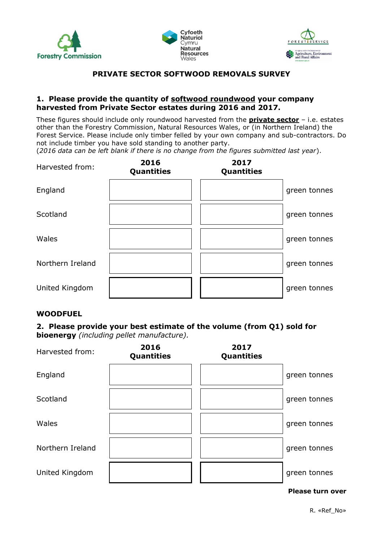





# **PRIVATE SECTOR SOFTWOOD REMOVALS SURVEY**

#### **1. Please provide the quantity of softwood roundwood your company harvested from Private Sector estates during 2016 and 2017.**

These figures should include only roundwood harvested from the **private sector** – i.e. estates other than the Forestry Commission, Natural Resources Wales, or (in Northern Ireland) the Forest Service. Please include only timber felled by your own company and sub-contractors. Do not include timber you have sold standing to another party.

(*2016 data can be left blank if there is no change from the figures submitted last year*).

| Harvested from:  | 2016<br>Quantities | 2017<br><b>Quantities</b> |              |
|------------------|--------------------|---------------------------|--------------|
| England          |                    |                           | green tonnes |
| Scotland         |                    |                           | green tonnes |
| Wales            |                    |                           | green tonnes |
| Northern Ireland |                    |                           | green tonnes |
| United Kingdom   |                    |                           | green tonnes |

#### **WOODFUEL**

### **2. Please provide your best estimate of the volume (from Q1) sold for bioenergy** *(including pellet manufacture).*

| Harvested from:  | 2016<br>Quantities | 2017<br><b>Quantities</b> |              |
|------------------|--------------------|---------------------------|--------------|
| England          |                    |                           | green tonnes |
| Scotland         |                    |                           | green tonnes |
| Wales            |                    |                           | green tonnes |
| Northern Ireland |                    |                           | green tonnes |
| United Kingdom   |                    |                           | green tonnes |

#### **Please turn over**